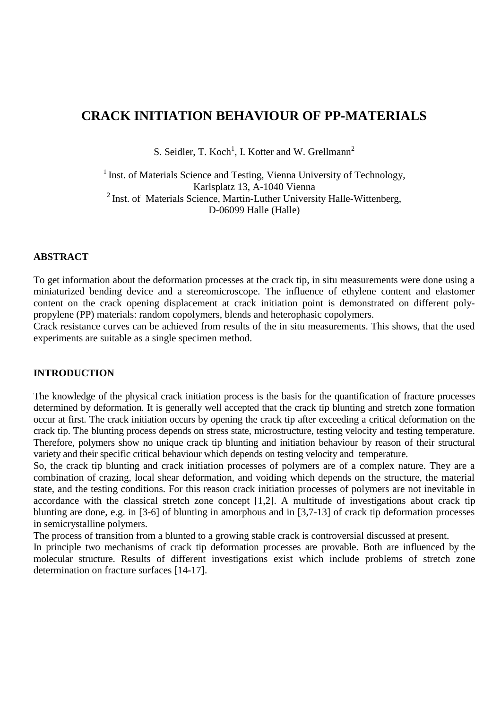# **CRACK INITIATION BEHAVIOUR OF PP-MATERIALS**

S. Seidler, T. Koch<sup>1</sup>, I. Kotter and W. Grellmann<sup>2</sup>

 $<sup>1</sup>$  Inst. of Materials Science and Testing, Vienna University of Technology,</sup> Karlsplatz 13, A-1040 Vienna <sup>2</sup> Inst. of Materials Science, Martin-Luther University Halle-Wittenberg, D-06099 Halle (Halle)

## **ABSTRACT**

To get information about the deformation processes at the crack tip, in situ measurements were done using a miniaturized bending device and a stereomicroscope. The influence of ethylene content and elastomer content on the crack opening displacement at crack initiation point is demonstrated on different polypropylene (PP) materials: random copolymers, blends and heterophasic copolymers.

Crack resistance curves can be achieved from results of the in situ measurements. This shows, that the used experiments are suitable as a single specimen method.

## **INTRODUCTION**

The knowledge of the physical crack initiation process is the basis for the quantification of fracture processes determined by deformation. It is generally well accepted that the crack tip blunting and stretch zone formation occur at first. The crack initiation occurs by opening the crack tip after exceeding a critical deformation on the crack tip. The blunting process depends on stress state, microstructure, testing velocity and testing temperature. Therefore, polymers show no unique crack tip blunting and initiation behaviour by reason of their structural variety and their specific critical behaviour which depends on testing velocity and temperature.

So, the crack tip blunting and crack initiation processes of polymers are of a complex nature. They are a combination of crazing, local shear deformation, and voiding which depends on the structure, the material state, and the testing conditions. For this reason crack initiation processes of polymers are not inevitable in accordance with the classical stretch zone concept [1,2]. A multitude of investigations about crack tip blunting are done, e.g. in [3-6] of blunting in amorphous and in [3,7-13] of crack tip deformation processes in semicrystalline polymers.

The process of transition from a blunted to a growing stable crack is controversial discussed at present.

In principle two mechanisms of crack tip deformation processes are provable. Both are influenced by the molecular structure. Results of different investigations exist which include problems of stretch zone determination on fracture surfaces [14-17].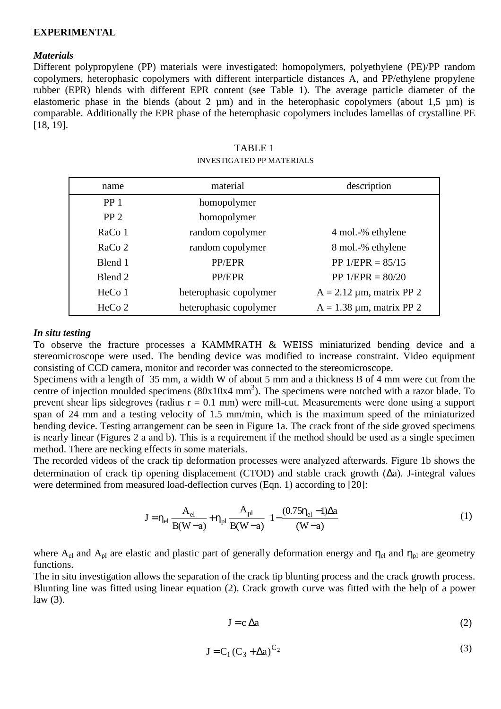## **EXPERIMENTAL**

#### *Materials*

Different polypropylene (PP) materials were investigated: homopolymers, polyethylene (PE)/PP random copolymers, heterophasic copolymers with different interparticle distances A, and PP/ethylene propylene rubber (EPR) blends with different EPR content (see Table 1). The average particle diameter of the elastomeric phase in the blends (about 2  $\mu$ m) and in the heterophasic copolymers (about 1,5  $\mu$ m) is comparable. Additionally the EPR phase of the heterophasic copolymers includes lamellas of crystalline PE [18, 19].

| name            | material               | description                    |
|-----------------|------------------------|--------------------------------|
| PP <sub>1</sub> | homopolymer            |                                |
| PP <sub>2</sub> | homopolymer            |                                |
| RaCo 1          | random copolymer       | 4 mol.-% ethylene              |
| RaCo 2          | random copolymer       | 8 mol.-% ethylene              |
| Blend 1         | PP/EPR                 | PP $1/EPR = 85/15$             |
| Blend 2         | PP/EPR                 | PP $1/EPR = 80/20$             |
| HeCo 1          | heterophasic copolymer | $A = 2.12 \mu m$ , matrix PP 2 |
| HeCo 2          | heterophasic copolymer | $A = 1.38 \mu m$ , matrix PP 2 |

## TABLE 1 INVESTIGATED PP MATERIALS

#### *In situ testing*

To observe the fracture processes a KAMMRATH & WEISS miniaturized bending device and a stereomicroscope were used. The bending device was modified to increase constraint. Video equipment consisting of CCD camera, monitor and recorder was connected to the stereomicroscope.

Specimens with a length of 35 mm, a width W of about 5 mm and a thickness B of 4 mm were cut from the centre of injection moulded specimens  $(80x10x4 mm<sup>3</sup>)$ . The specimens were notched with a razor blade. To prevent shear lips sidegroves (radius  $r = 0.1$  mm) were mill-cut. Measurements were done using a support span of 24 mm and a testing velocity of 1.5 mm/min, which is the maximum speed of the miniaturized bending device. Testing arrangement can be seen in Figure 1a. The crack front of the side groved specimens is nearly linear (Figures 2 a and b). This is a requirement if the method should be used as a single specimen method. There are necking effects in some materials.

The recorded videos of the crack tip deformation processes were analyzed afterwards. Figure 1b shows the determination of crack tip opening displacement (CTOD) and stable crack growth (∆a). J-integral values were determined from measured load-deflection curves (Eqn. 1) according to [20]:

$$
J = \eta_{el} \frac{A_{el}}{B(W - a)} + \eta_{pl} \frac{A_{pl}}{B(W - a)} \left\{ 1 - \frac{(0.75\eta_{el} - 1)\Delta a}{(W - a)} \right\}
$$
(1)

where  $A_{el}$  and  $A_{pl}$  are elastic and plastic part of generally deformation energy and  $\eta_{el}$  and  $\eta_{pl}$  are geometry functions.

The in situ investigation allows the separation of the crack tip blunting process and the crack growth process. Blunting line was fitted using linear equation (2). Crack growth curve was fitted with the help of a power law (3).

$$
J = c \Delta a \tag{2}
$$

$$
\mathbf{J} = \mathbf{C}_1 \left( \mathbf{C}_3 + \Delta \mathbf{a} \right)^{C_2} \tag{3}
$$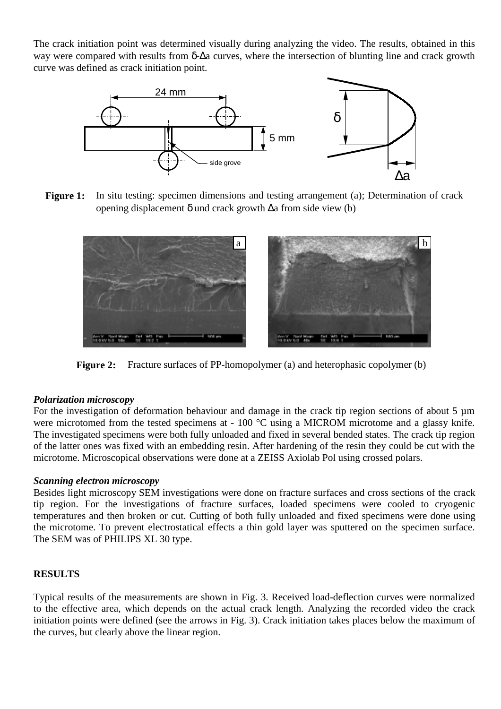The crack initiation point was determined visually during analyzing the video. The results, obtained in this way were compared with results from δ-∆a curves, where the intersection of blunting line and crack growth curve was defined as crack initiation point.



**Figure 1:** In situ testing: specimen dimensions and testing arrangement (a); Determination of crack opening displacement δ und crack growth ∆a from side view (b)



**Figure 2:** Fracture surfaces of PP-homopolymer (a) and heterophasic copolymer (b)

## *Polarization microscopy*

For the investigation of deformation behaviour and damage in the crack tip region sections of about 5 µm were microtomed from the tested specimens at - 100 °C using a MICROM microtome and a glassy knife. The investigated specimens were both fully unloaded and fixed in several bended states. The crack tip region of the latter ones was fixed with an embedding resin. After hardening of the resin they could be cut with the microtome. Microscopical observations were done at a ZEISS Axiolab Pol using crossed polars.

# *Scanning electron microscopy*

Besides light microscopy SEM investigations were done on fracture surfaces and cross sections of the crack tip region. For the investigations of fracture surfaces, loaded specimens were cooled to cryogenic temperatures and then broken or cut. Cutting of both fully unloaded and fixed specimens were done using the microtome. To prevent electrostatical effects a thin gold layer was sputtered on the specimen surface. The SEM was of PHILIPS XL 30 type.

# **RESULTS**

Typical results of the measurements are shown in Fig. 3. Received load-deflection curves were normalized to the effective area, which depends on the actual crack length. Analyzing the recorded video the crack initiation points were defined (see the arrows in Fig. 3). Crack initiation takes places below the maximum of the curves, but clearly above the linear region.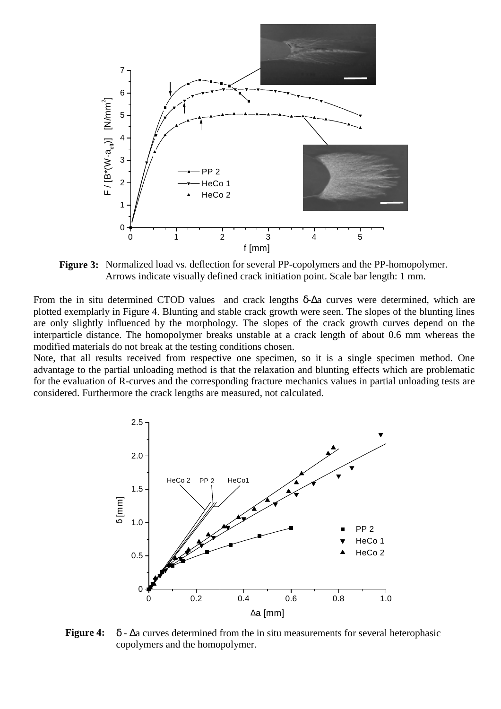

**Figure 3:** Normalized load vs. deflection for several PP-copolymers and the PP-homopolymer. Arrows indicate visually defined crack initiation point. Scale bar length: 1 mm.

From the in situ determined CTOD values and crack lengths δ-∆a curves were determined, which are plotted exemplarly in Figure 4. Blunting and stable crack growth were seen. The slopes of the blunting lines are only slightly influenced by the morphology. The slopes of the crack growth curves depend on the interparticle distance. The homopolymer breaks unstable at a crack length of about 0.6 mm whereas the modified materials do not break at the testing conditions chosen.

Note, that all results received from respective one specimen, so it is a single specimen method. One advantage to the partial unloading method is that the relaxation and blunting effects which are problematic for the evaluation of R-curves and the corresponding fracture mechanics values in partial unloading tests are considered. Furthermore the crack lengths are measured, not calculated.



**Figure 4:** δ - ∆a curves determined from the in situ measurements for several heterophasic copolymers and the homopolymer.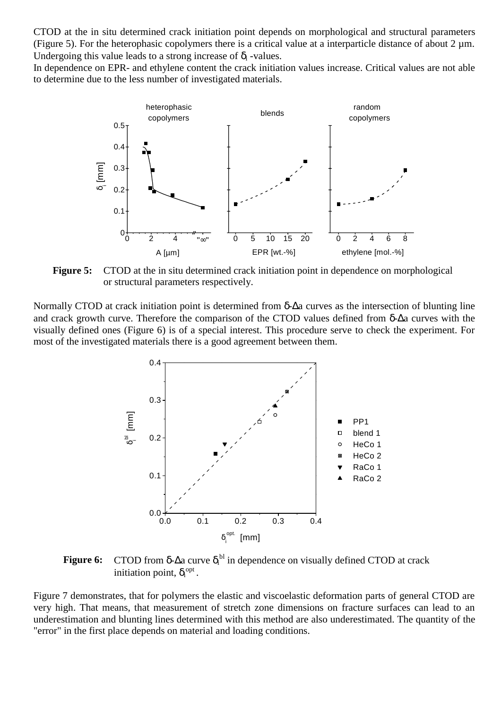CTOD at the in situ determined crack initiation point depends on morphological and structural parameters (Figure 5). For the heterophasic copolymers there is a critical value at a interparticle distance of about 2 µm. Undergoing this value leads to a strong increase of  $\delta_i$ -values.

In dependence on EPR- and ethylene content the crack initiation values increase. Critical values are not able to determine due to the less number of investigated materials.



**Figure 5:** CTOD at the in situ determined crack initiation point in dependence on morphological or structural parameters respectively.

Normally CTOD at crack initiation point is determined from δ-Δa curves as the intersection of blunting line and crack growth curve. Therefore the comparison of the CTOD values defined from δ-∆a curves with the visually defined ones (Figure 6) is of a special interest. This procedure serve to check the experiment. For most of the investigated materials there is a good agreement between them.



**Figure 6:** CTOD from δ- $\Delta$ a curve  $\delta_i^{\text{bl}}$  in dependence on visually defined CTOD at crack initiation point,  $\delta_i^{\text{opt}}$ .

Figure 7 demonstrates, that for polymers the elastic and viscoelastic deformation parts of general CTOD are very high. That means, that measurement of stretch zone dimensions on fracture surfaces can lead to an underestimation and blunting lines determined with this method are also underestimated. The quantity of the "error" in the first place depends on material and loading conditions.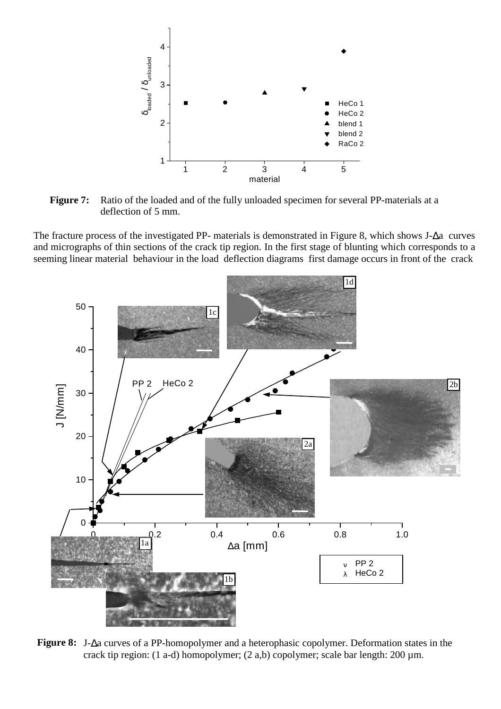

Figure 7: Ratio of the loaded and of the fully unloaded specimen for several PP-materials at a deflection of 5 mm.

The fracture process of the investigated PP- materials is demonstrated in Figure 8, which shows J-∆a curves and micrographs of thin sections of the crack tip region. In the first stage of blunting which corresponds to a seeming linear material behaviour in the load deflection diagrams first damage occurs in front of the crack



**Figure 8:** J-∆a curves of a PP-homopolymer and a heterophasic copolymer. Deformation states in the crack tip region: (1 a-d) homopolymer; (2 a,b) copolymer; scale bar length:  $200 \mu m$ .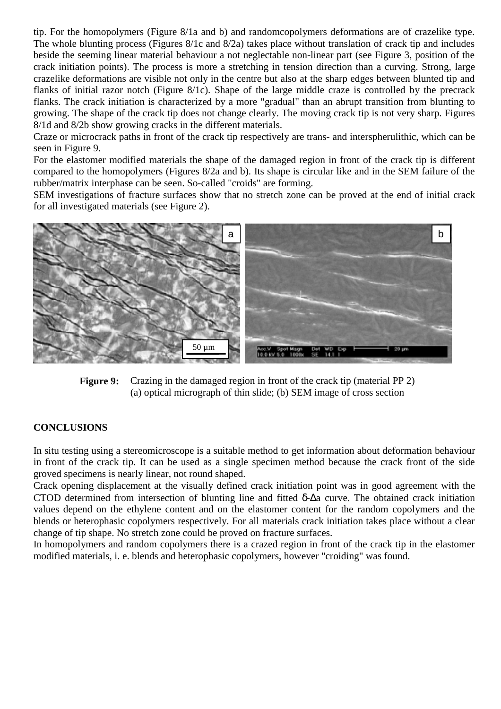tip. For the homopolymers (Figure 8/1a and b) and randomcopolymers deformations are of crazelike type. The whole blunting process (Figures 8/1c and 8/2a) takes place without translation of crack tip and includes beside the seeming linear material behaviour a not neglectable non-linear part (see Figure 3, position of the crack initiation points). The process is more a stretching in tension direction than a curving. Strong, large crazelike deformations are visible not only in the centre but also at the sharp edges between blunted tip and flanks of initial razor notch (Figure 8/1c). Shape of the large middle craze is controlled by the precrack flanks. The crack initiation is characterized by a more "gradual" than an abrupt transition from blunting to growing. The shape of the crack tip does not change clearly. The moving crack tip is not very sharp. Figures 8/1d and 8/2b show growing cracks in the different materials.

Craze or microcrack paths in front of the crack tip respectively are trans- and interspherulithic, which can be seen in Figure 9.

For the elastomer modified materials the shape of the damaged region in front of the crack tip is different compared to the homopolymers (Figures 8/2a and b). Its shape is circular like and in the SEM failure of the rubber/matrix interphase can be seen. So-called "croids" are forming.

SEM investigations of fracture surfaces show that no stretch zone can be proved at the end of initial crack for all investigated materials (see Figure 2).



**Figure 9:** Crazing in the damaged region in front of the crack tip (material PP 2) (a) optical micrograph of thin slide; (b) SEM image of cross section

# **CONCLUSIONS**

In situ testing using a stereomicroscope is a suitable method to get information about deformation behaviour in front of the crack tip. It can be used as a single specimen method because the crack front of the side groved specimens is nearly linear, not round shaped.

Crack opening displacement at the visually defined crack initiation point was in good agreement with the CTOD determined from intersection of blunting line and fitted δ-∆a curve. The obtained crack initiation values depend on the ethylene content and on the elastomer content for the random copolymers and the blends or heterophasic copolymers respectively. For all materials crack initiation takes place without a clear change of tip shape. No stretch zone could be proved on fracture surfaces.

In homopolymers and random copolymers there is a crazed region in front of the crack tip in the elastomer modified materials, i. e. blends and heterophasic copolymers, however "croiding" was found.